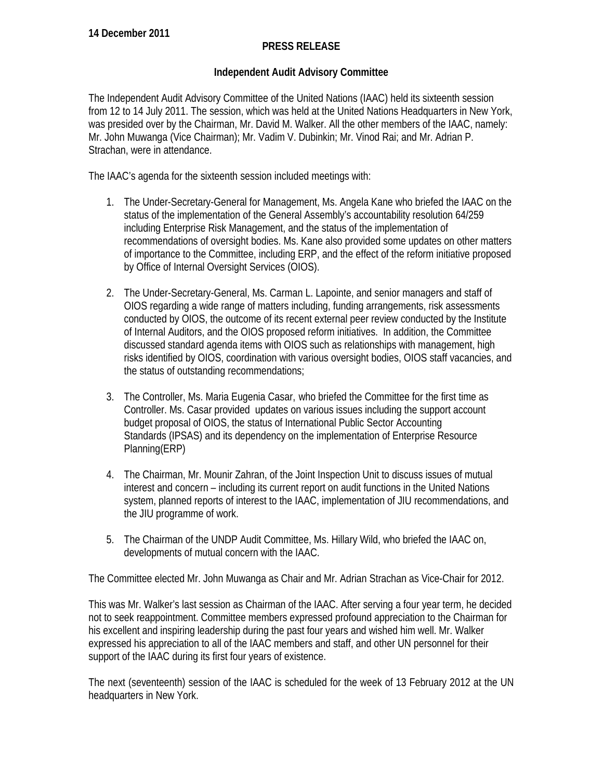## **PRESS RELEASE**

## **Independent Audit Advisory Committee**

The Independent Audit Advisory Committee of the United Nations (IAAC) held its sixteenth session from 12 to 14 July 2011. The session, which was held at the United Nations Headquarters in New York, was presided over by the Chairman, Mr. David M. Walker. All the other members of the IAAC, namely: Mr. John Muwanga (Vice Chairman); Mr. Vadim V. Dubinkin; Mr. Vinod Rai; and Mr. Adrian P. Strachan, were in attendance.

The IAAC's agenda for the sixteenth session included meetings with:

- 1. The Under-Secretary-General for Management, Ms. Angela Kane who briefed the IAAC on the status of the implementation of the General Assembly's accountability resolution 64/259 including Enterprise Risk Management, and the status of the implementation of recommendations of oversight bodies. Ms. Kane also provided some updates on other matters of importance to the Committee, including ERP, and the effect of the reform initiative proposed by Office of Internal Oversight Services (OIOS).
- 2. The Under-Secretary-General, Ms. Carman L. Lapointe, and senior managers and staff of OIOS regarding a wide range of matters including, funding arrangements, risk assessments conducted by OIOS, the outcome of its recent external peer review conducted by the Institute of Internal Auditors, and the OIOS proposed reform initiatives. In addition, the Committee discussed standard agenda items with OIOS such as relationships with management, high risks identified by OIOS, coordination with various oversight bodies, OIOS staff vacancies, and the status of outstanding recommendations;
- 3. The Controller, Ms. Maria Eugenia Casar, who briefed the Committee for the first time as Controller. Ms. Casar provided updates on various issues including the support account budget proposal of OIOS, the status of International Public Sector Accounting Standards (IPSAS) and its dependency on the implementation of Enterprise Resource Planning(ERP)
- 4. The Chairman, Mr. Mounir Zahran, of the Joint Inspection Unit to discuss issues of mutual interest and concern – including its current report on audit functions in the United Nations system, planned reports of interest to the IAAC, implementation of JIU recommendations, and the JIU programme of work.
- 5. The Chairman of the UNDP Audit Committee, Ms. Hillary Wild, who briefed the IAAC on, developments of mutual concern with the IAAC.

The Committee elected Mr. John Muwanga as Chair and Mr. Adrian Strachan as Vice-Chair for 2012.

This was Mr. Walker's last session as Chairman of the IAAC. After serving a four year term, he decided not to seek reappointment. Committee members expressed profound appreciation to the Chairman for his excellent and inspiring leadership during the past four years and wished him well. Mr. Walker expressed his appreciation to all of the IAAC members and staff, and other UN personnel for their support of the IAAC during its first four years of existence.

The next (seventeenth) session of the IAAC is scheduled for the week of 13 February 2012 at the UN headquarters in New York.